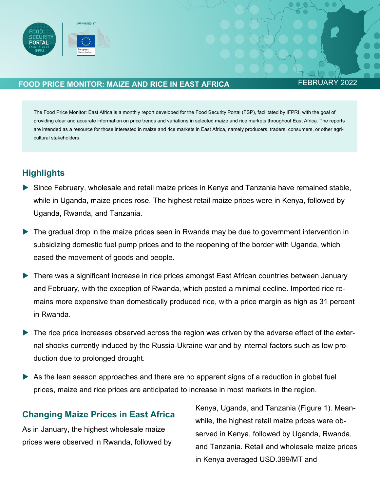

## **FOOD PRICE MONITOR: MAIZE AND RICE IN EAST AFRICA FEBRUARY 2022**

The Food Price Monitor: East Africa is a monthly report developed for the Food Security Portal (FSP), facilitated by IFPRI, with the goal of providing clear and accurate information on price trends and variations in selected maize and rice markets throughout East Africa. The reports are intended as a resource for those interested in maize and rice markets in East Africa, namely producers, traders, consumers, or other agricultural stakeholders.

# **Highlights**

- Since February, wholesale and retail maize prices in Kenya and Tanzania have remained stable, while in Uganda, maize prices rose. The highest retail maize prices were in Kenya, followed by Uganda, Rwanda, and Tanzania.
- The gradual drop in the maize prices seen in Rwanda may be due to government intervention in subsidizing domestic fuel pump prices and to the reopening of the border with Uganda, which eased the movement of goods and people.
- There was a significant increase in rice prices amongst East African countries between January and February, with the exception of Rwanda, which posted a minimal decline. Imported rice remains more expensive than domestically produced rice, with a price margin as high as 31 percent in Rwanda.
- The rice price increases observed across the region was driven by the adverse effect of the external shocks currently induced by the Russia-Ukraine war and by internal factors such as low production due to prolonged drought.
- As the lean season approaches and there are no apparent signs of a reduction in global fuel prices, maize and rice prices are anticipated to increase in most markets in the region.

## **Changing Maize Prices in East Africa**

As in January, the highest wholesale maize prices were observed in Rwanda, followed by Kenya, Uganda, and Tanzania (Figure 1). Meanwhile, the highest retail maize prices were observed in Kenya, followed by Uganda, Rwanda, and Tanzania. Retail and wholesale maize prices in Kenya averaged USD.399/MT and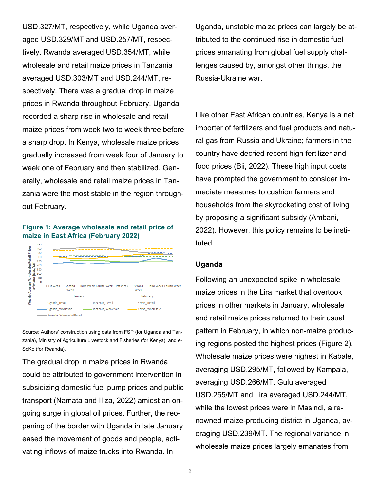USD.327/MT, respectively, while Uganda averaged USD.329/MT and USD.257/MT, respectively. Rwanda averaged USD.354/MT, while wholesale and retail maize prices in Tanzania averaged USD.303/MT and USD.244/MT, respectively. There was a gradual drop in maize prices in Rwanda throughout February. Uganda recorded a sharp rise in wholesale and retail maize prices from week two to week three before a sharp drop. In Kenya, wholesale maize prices gradually increased from week four of January to week one of February and then stabilized. Generally, wholesale and retail maize prices in Tanzania were the most stable in the region throughout February.

#### **Figure 1: Average wholesale and retail price of maize in East Africa (February 2022)**

|                                                    | 450            |                         |                |                                           |          |                |                        |  |
|----------------------------------------------------|----------------|-------------------------|----------------|-------------------------------------------|----------|----------------|------------------------|--|
|                                                    | 400            |                         |                |                                           |          |                |                        |  |
|                                                    | 350            |                         |                |                                           |          |                |                        |  |
|                                                    | 300            |                         |                |                                           |          |                |                        |  |
| ۳                                                  | 250            |                         |                |                                           |          |                |                        |  |
| Σ                                                  | 200            |                         |                |                                           |          |                |                        |  |
| /asp                                               | 150            |                         |                |                                           |          |                |                        |  |
|                                                    | 100            |                         |                |                                           |          |                |                        |  |
|                                                    | 50             |                         |                |                                           |          |                |                        |  |
| Weekly Average Wholesale/Retail Prices<br>of Maize | $\overline{0}$ | <b>First Week</b>       | Second<br>Week | Third Week Fourth Week First Week         |          | Second<br>Week | Third Week Fourth Week |  |
|                                                    |                | January                 |                |                                           | February |                |                        |  |
|                                                    |                | Uganda Retail           |                | --- Tanzania Retail<br>$---$ Kenya Retail |          |                |                        |  |
|                                                    |                | Uganda Wholesale        |                | Tanzania Wholesale<br>-Kenya Wholesale    |          |                |                        |  |
|                                                    |                | Rwanda Wholesale/Retail |                |                                           |          |                |                        |  |

Source: Authors' construction using data from FSP (for Uganda and Tanzania), Ministry of Agriculture Livestock and Fisheries (for Kenya), and e-SoKo (for Rwanda).

The gradual drop in maize prices in Rwanda could be attributed to government intervention in subsidizing domestic fuel pump prices and public transport (Namata and IIiza, 2022) amidst an ongoing surge in global oil prices. Further, the reopening of the border with Uganda in late January eased the movement of goods and people, activating inflows of maize trucks into Rwanda. In

Uganda, unstable maize prices can largely be attributed to the continued rise in domestic fuel prices emanating from global fuel supply challenges caused by, amongst other things, the Russia-Ukraine war.

Like other East African countries, Kenya is a net importer of fertilizers and fuel products and natural gas from Russia and Ukraine; farmers in the country have decried recent high fertilizer and food prices (Bii, 2022). These high input costs have prompted the government to consider immediate measures to cushion farmers and households from the skyrocketing cost of living by proposing a significant subsidy (Ambani, 2022). However, this policy remains to be instituted.

#### **Uganda**

Following an unexpected spike in wholesale maize prices in the Lira market that overtook prices in other markets in January, wholesale and retail maize prices returned to their usual pattern in February, in which non-maize producing regions posted the highest prices (Figure 2). Wholesale maize prices were highest in Kabale, averaging USD.295/MT, followed by Kampala, averaging USD.266/MT. Gulu averaged USD.255/MT and Lira averaged USD.244/MT, while the lowest prices were in Masindi, a renowned maize-producing district in Uganda, averaging USD.239/MT. The regional variance in wholesale maize prices largely emanates from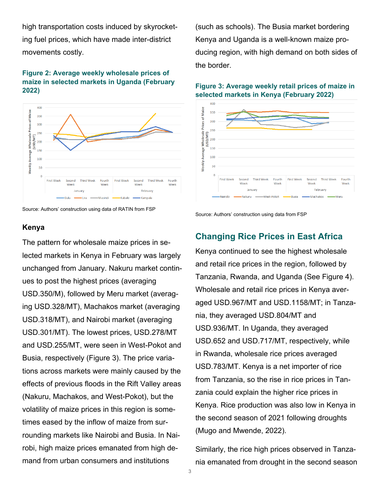high transportation costs induced by skyrocketing fuel prices, which have made inter-district movements costly.

#### **Figure 2: Average weekly wholesale prices of maize in selected markets in Uganda (February 2022)**





#### **Kenya**

The pattern for wholesale maize prices in selected markets in Kenya in February was largely unchanged from January. Nakuru market continues to post the highest prices (averaging USD.350/M), followed by Meru market (averaging USD.328/MT), Machakos market (averaging USD.318/MT), and Nairobi market (averaging USD.301/MT). The lowest prices, USD.278/MT and USD.255/MT, were seen in West-Pokot and Busia, respectively (Figure 3). The price variations across markets were mainly caused by the effects of previous floods in the Rift Valley areas (Nakuru, Machakos, and West-Pokot), but the volatility of maize prices in this region is sometimes eased by the inflow of maize from surrounding markets like Nairobi and Busia. In Nairobi, high maize prices emanated from high demand from urban consumers and institutions

(such as schools). The Busia market bordering Kenya and Uganda is a well-known maize producing region, with high demand on both sides of the border.

#### **Figure 3: Average weekly retail prices of maize in selected markets in Kenya (February 2022)**





## **Changing Rice Prices in East Africa**

Kenya continued to see the highest wholesale and retail rice prices in the region, followed by Tanzania, Rwanda, and Uganda (See Figure 4). Wholesale and retail rice prices in Kenya averaged USD.967/MT and USD.1158/MT; in Tanzania, they averaged USD.804/MT and USD.936/MT. In Uganda, they averaged USD.652 and USD.717/MT, respectively, while in Rwanda, wholesale rice prices averaged USD.783/MT. Kenya is a net importer of rice from Tanzania, so the rise in rice prices in Tanzania could explain the higher rice prices in Kenya. Rice production was also low in Kenya in the second season of 2021 following droughts (Mugo and Mwende, 2022).

Similarly, the rice high prices observed in Tanzania emanated from drought in the second season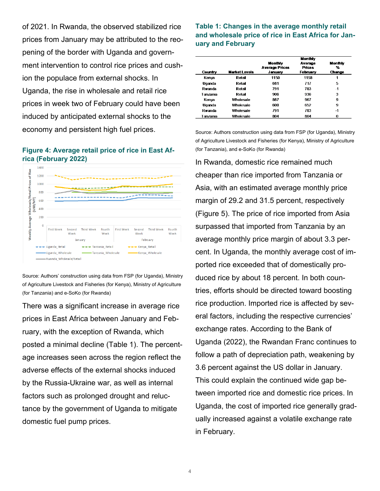of 2021. In Rwanda, the observed stabilized rice prices from January may be attributed to the reopening of the border with Uganda and government intervention to control rice prices and cushion the populace from external shocks. In Uganda, the rise in wholesale and retail rice prices in week two of February could have been induced by anticipated external shocks to the economy and persistent high fuel prices.

#### **Figure 4: Average retail price of rice in East Africa (February 2022)**



Source: Authors' construction using data from FSP (for Uganda), Ministry of Agriculture Livestock and Fisheries (for Kenya), Ministry of Agriculture (for Tanzania) and e-SoKo (for Rwanda)

There was a significant increase in average rice prices in East Africa between January and February, with the exception of Rwanda, which posted a minimal decline (Table 1). The percentage increases seen across the region reflect the adverse effects of the external shocks induced by the Russia-Ukraine war, as well as internal factors such as prolonged drought and reluctance by the government of Uganda to mitigate domestic fuel pump prices.

### **Table 1: Changes in the average monthly retail and wholesale price of rice in East Africa for January and February**

|          |                  | Monthly                                     |                                      |                        |  |  |
|----------|------------------|---------------------------------------------|--------------------------------------|------------------------|--|--|
| Country  | Market Levels    | Monthly<br><b>Average Prices</b><br>January | Average<br><b>Prices</b><br>February | Monthly<br>℀<br>Change |  |  |
| Kenva    | Retail           | 1150                                        | 1158                                 |                        |  |  |
| Uganda   | Retail           | 681                                         | 717                                  | 5                      |  |  |
| Rwanda   | Retail           | 791                                         | 783                                  | $-1$                   |  |  |
| Tanzania | Refail           | 906                                         | 936                                  | 3                      |  |  |
| Kenva    | Wholesale        | 887                                         | 967                                  | 9                      |  |  |
| Uganda   | Wholesale        | 600                                         | 652                                  | 9                      |  |  |
| Rwanda   | <b>Wholesale</b> | 791                                         | 783                                  | $-1$                   |  |  |
| Tanzania | Wholesale        | 804                                         | 804                                  | n                      |  |  |

Source: Authors construction using data from FSP (for Uganda), Ministry of Agriculture Livestock and Fisheries (for Kenya), Ministry of Agriculture (for Tanzania), and e-SoKo (for Rwanda)

In Rwanda, domestic rice remained much cheaper than rice imported from Tanzania or Asia, with an estimated average monthly price margin of 29.2 and 31.5 percent, respectively (Figure 5). The price of rice imported from Asia surpassed that imported from Tanzania by an average monthly price margin of about 3.3 percent. In Uganda, the monthly average cost of imported rice exceeded that of domestically produced rice by about 18 percent. In both countries, efforts should be directed toward boosting rice production. Imported rice is affected by several factors, including the respective currencies' exchange rates. According to the Bank of Uganda (2022), the Rwandan Franc continues to follow a path of depreciation path, weakening by 3.6 percent against the US dollar in January. This could explain the continued wide gap between imported rice and domestic rice prices. In Uganda, the cost of imported rice generally gradually increased against a volatile exchange rate in February.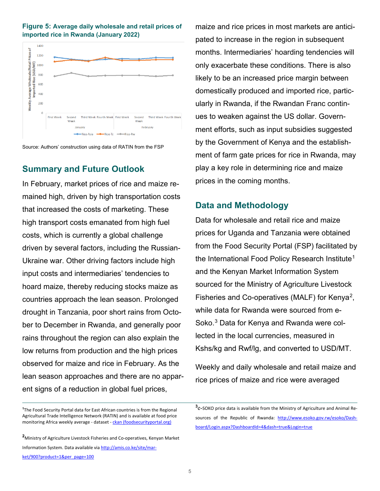



Source: Authors' construction using data of RATIN from the FSP

## **Summary and Future Outlook**

In February, market prices of rice and maize remained high, driven by high transportation costs that increased the costs of marketing. These high transport costs emanated from high fuel costs, which is currently a global challenge driven by several factors, including the Russian-Ukraine war. Other driving factors include high input costs and intermediaries' tendencies to hoard maize, thereby reducing stocks maize as countries approach the lean season. Prolonged drought in Tanzania, poor short rains from October to December in Rwanda, and generally poor rains throughout the region can also explain the low returns from production and the high prices observed for maize and rice in February. As the lean season approaches and there are no apparent signs of a reduction in global fuel prices,

<span id="page-4-2"></span><span id="page-4-0"></span>**1** The Food Security Portal data for East African countries is from the Regional Agricultural Trade Intelligence Network (RATIN) and is available at food price monitoring Africa weekly average - dataset - ckan (foodsecurityportal.org)

<span id="page-4-1"></span>**<sup>2</sup>**Ministry of Agriculture Livestock Fisheries and Co-operatives, Kenyan Market Information System. Data available via http://amis.co.ke/site/market/900?product=1&per\_page=100

maize and rice prices in most markets are anticipated to increase in the region in subsequent months. Intermediaries' hoarding tendencies will only exacerbate these conditions. There is also likely to be an increased price margin between domestically produced and imported rice, particularly in Rwanda, if the Rwandan Franc continues to weaken against the US dollar. Government efforts, such as input subsidies suggested by the Government of Kenya and the establishment of farm gate prices for rice in Rwanda, may play a key role in determining rice and maize prices in the coming months.

## **Data and Methodology**

Data for wholesale and retail rice and maize prices for Uganda and Tanzania were obtained from the Food Security Portal (FSP) facilitated by the International Food Policy Research Institute<sup>[1](#page-4-0)</sup> and the Kenyan Market Information System sourced for the Ministry of Agriculture Livestock Fisheries and Co-operatives (MALF) for Kenya[2](#page-4-1), while data for Rwanda were sourced from e-Soko. [3](#page-4-2) Data for Kenya and Rwanda were collected in the local currencies, measured in Kshs/kg and Rwf/lg, and converted to USD/MT.

Weekly and daily wholesale and retail maize and rice prices of maize and rice were averaged

**<sup>3</sup>**e-SOKO price data is available from the Ministry of Agriculture and Animal Resources of the Republic of Rwanda: [http://www.esoko.gov.rw/esoko/Dash](http://www.esoko.gov.rw/esoko/Dashboard/Login.aspx?DashboardId=4&dash=true&Login=true)[board/Login.aspx?DashboardId=4&dash=true&Login=true](http://www.esoko.gov.rw/esoko/Dashboard/Login.aspx?DashboardId=4&dash=true&Login=true)